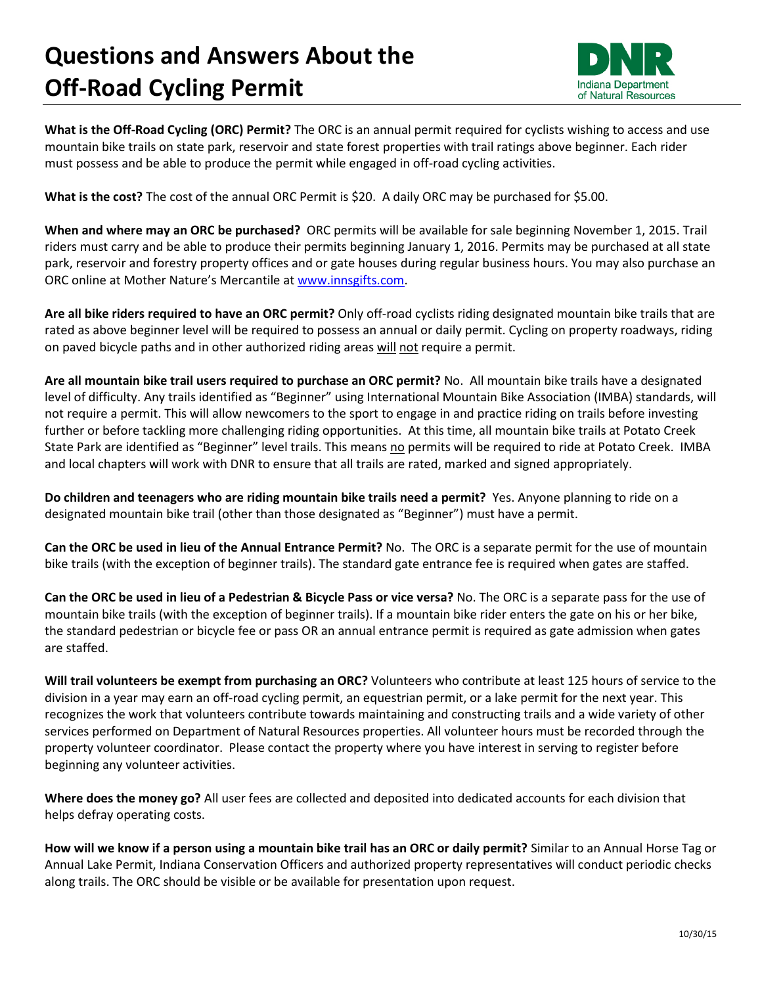## **Questions and Answers About the Off-Road Cycling Permit**



**What is the Off-Road Cycling (ORC) Permit?** The ORC is an annual permit required for cyclists wishing to access and use mountain bike trails on state park, reservoir and state forest properties with trail ratings above beginner. Each rider must possess and be able to produce the permit while engaged in off-road cycling activities.

**What is the cost?** The cost of the annual ORC Permit is \$20. A daily ORC may be purchased for \$5.00.

**When and where may an ORC be purchased?** ORC permits will be available for sale beginning November 1, 2015. Trail riders must carry and be able to produce their permits beginning January 1, 2016. Permits may be purchased at all state park, reservoir and forestry property offices and or gate houses during regular business hours. You may also purchase an ORC online at Mother Nature's Mercantile at [www.innsgifts.com.](http://www.innsgifts.com/)

**Are all bike riders required to have an ORC permit?** Only off-road cyclists riding designated mountain bike trails that are rated as above beginner level will be required to possess an annual or daily permit. Cycling on property roadways, riding on paved bicycle paths and in other authorized riding areas will not require a permit.

**Are all mountain bike trail users required to purchase an ORC permit?** No. All mountain bike trails have a designated level of difficulty. Any trails identified as "Beginner" using International Mountain Bike Association (IMBA) standards, will not require a permit. This will allow newcomers to the sport to engage in and practice riding on trails before investing further or before tackling more challenging riding opportunities. At this time, all mountain bike trails at Potato Creek State Park are identified as "Beginner" level trails. This means no permits will be required to ride at Potato Creek. IMBA and local chapters will work with DNR to ensure that all trails are rated, marked and signed appropriately.

**Do children and teenagers who are riding mountain bike trails need a permit?** Yes. Anyone planning to ride on a designated mountain bike trail (other than those designated as "Beginner") must have a permit.

**Can the ORC be used in lieu of the Annual Entrance Permit?** No. The ORC is a separate permit for the use of mountain bike trails (with the exception of beginner trails). The standard gate entrance fee is required when gates are staffed.

**Can the ORC be used in lieu of a Pedestrian & Bicycle Pass or vice versa?** No. The ORC is a separate pass for the use of mountain bike trails (with the exception of beginner trails). If a mountain bike rider enters the gate on his or her bike, the standard pedestrian or bicycle fee or pass OR an annual entrance permit is required as gate admission when gates are staffed.

**Will trail volunteers be exempt from purchasing an ORC?** Volunteers who contribute at least 125 hours of service to the division in a year may earn an off-road cycling permit, an equestrian permit, or a lake permit for the next year. This recognizes the work that volunteers contribute towards maintaining and constructing trails and a wide variety of other services performed on Department of Natural Resources properties. All volunteer hours must be recorded through the property volunteer coordinator. Please contact the property where you have interest in serving to register before beginning any volunteer activities.

**Where does the money go?** All user fees are collected and deposited into dedicated accounts for each division that helps defray operating costs.

**How will we know if a person using a mountain bike trail has an ORC or daily permit?** Similar to an Annual Horse Tag or Annual Lake Permit, Indiana Conservation Officers and authorized property representatives will conduct periodic checks along trails. The ORC should be visible or be available for presentation upon request.